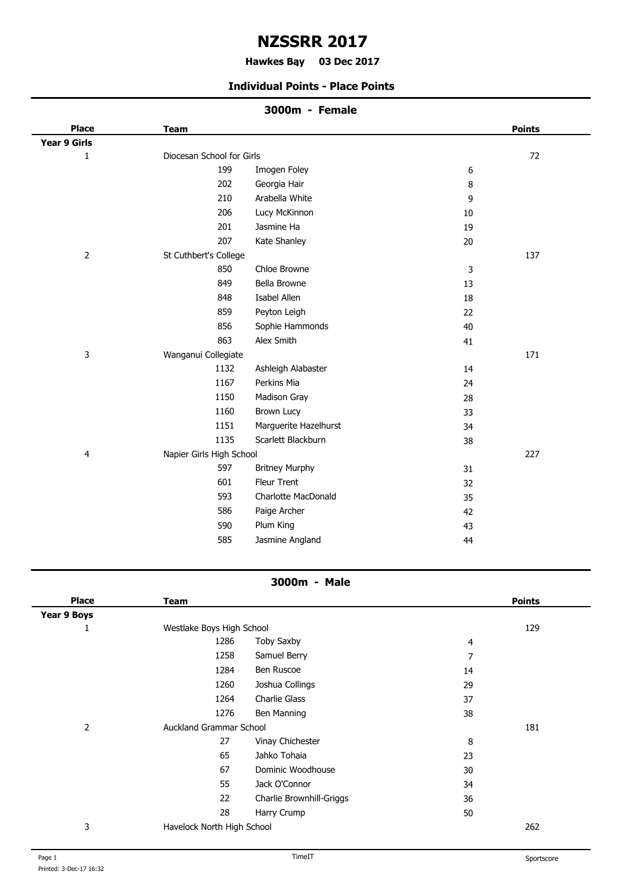# **NZSSRR 2017**

#### **Hawkes Bay 03 Dec 2017 .**

#### **Individual Points - Place Points**

# **3000m - Female**

| <b>Place</b>   | <b>Team</b>               |                       |        | <b>Points</b> |
|----------------|---------------------------|-----------------------|--------|---------------|
| Year 9 Girls   |                           |                       |        |               |
| $\mathbf{1}$   | Diocesan School for Girls |                       |        | 72            |
|                | 199                       | Imogen Foley          | 6      |               |
|                | 202                       | Georgia Hair          | 8      |               |
|                | 210                       | Arabella White        | 9      |               |
|                | 206                       | Lucy McKinnon         | $10\,$ |               |
|                | 201                       | Jasmine Ha            | 19     |               |
|                | 207                       | Kate Shanley          | 20     |               |
| $\overline{2}$ | St Cuthbert's College     |                       |        | 137           |
|                | 850                       | Chloe Browne          | 3      |               |
|                | 849                       | Bella Browne          | 13     |               |
|                | 848                       | Isabel Allen          | 18     |               |
|                | 859                       | Peyton Leigh          | 22     |               |
|                | 856                       | Sophie Hammonds       | 40     |               |
|                | 863                       | Alex Smith            | 41     |               |
| 3              | Wanganui Collegiate       |                       |        | 171           |
|                | 1132                      | Ashleigh Alabaster    | 14     |               |
|                | 1167                      | Perkins Mia           | 24     |               |
|                | 1150                      | Madison Gray          | 28     |               |
|                | 1160                      | <b>Brown Lucy</b>     | 33     |               |
|                | 1151                      | Marguerite Hazelhurst | 34     |               |
|                | 1135                      | Scarlett Blackburn    | 38     |               |
| 4              | Napier Girls High School  |                       |        | 227           |
|                | 597                       | <b>Britney Murphy</b> | 31     |               |
|                | 601                       | Fleur Trent           | 32     |               |
|                | 593                       | Charlotte MacDonald   | 35     |               |
|                | 586                       | Paige Archer          | 42     |               |
|                | 590                       | Plum King             | 43     |               |
|                | 585                       | Jasmine Angland       | 44     |               |
|                |                           |                       |        |               |

### **3000m - Male**

| <b>Place</b>       | Team                           |                          |    | <b>Points</b> |
|--------------------|--------------------------------|--------------------------|----|---------------|
| <b>Year 9 Boys</b> |                                |                          |    |               |
| ш                  | Westlake Boys High School      |                          |    | 129           |
|                    | 1286                           | <b>Toby Saxby</b>        | 4  |               |
|                    | 1258                           | Samuel Berry             | 7  |               |
|                    | 1284                           | Ben Ruscoe               | 14 |               |
|                    | 1260                           | Joshua Collings          | 29 |               |
|                    | 1264                           | Charlie Glass            | 37 |               |
|                    | 1276                           | Ben Manning              | 38 |               |
| 2                  | <b>Auckland Grammar School</b> |                          |    | 181           |
|                    | 27                             | Vinay Chichester         | 8  |               |
|                    | 65                             | Jahko Tohaia             | 23 |               |
|                    | 67                             | Dominic Woodhouse        | 30 |               |
|                    | 55                             | Jack O'Connor            | 34 |               |
|                    | 22                             | Charlie Brownhill-Griggs | 36 |               |
|                    | 28                             | Harry Crump              | 50 |               |
| 3                  | Havelock North High School     |                          |    | 262           |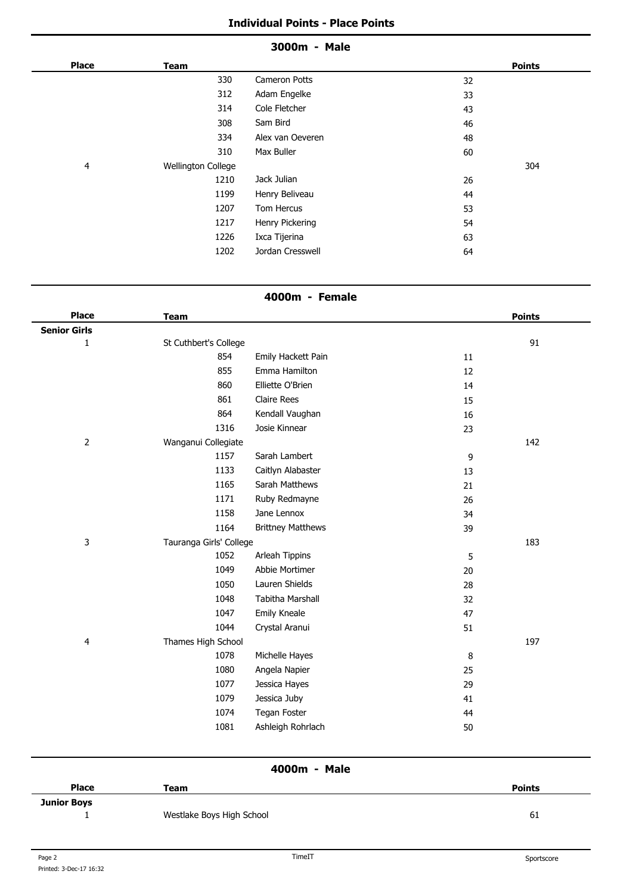#### **3000m - Male**

| <b>Place</b> | <b>Team</b>        |                  | <b>Points</b> |
|--------------|--------------------|------------------|---------------|
|              | 330                | Cameron Potts    | 32            |
|              | 312                | Adam Engelke     | 33            |
|              | 314                | Cole Fletcher    | 43            |
|              | 308                | Sam Bird         | 46            |
|              | 334                | Alex van Oeveren | 48            |
|              | 310                | Max Buller       | 60            |
| 4            | Wellington College |                  | 304           |
|              | 1210               | Jack Julian      | 26            |
|              | 1199               | Henry Beliveau   | 44            |
|              | 1207               | Tom Hercus       | 53            |
|              | 1217               | Henry Pickering  | 54            |
|              | 1226               | Ixca Tijerina    | 63            |
|              | 1202               | Jordan Cresswell | 64            |

## **4000m - Female**

| <b>Place</b>        | <b>Team</b>             |                          |    | <b>Points</b> |
|---------------------|-------------------------|--------------------------|----|---------------|
| <b>Senior Girls</b> |                         |                          |    |               |
| $\mathbf{1}$        | St Cuthbert's College   |                          |    | 91            |
|                     | 854                     | Emily Hackett Pain       | 11 |               |
|                     | 855                     | Emma Hamilton            | 12 |               |
|                     | 860                     | Elliette O'Brien         | 14 |               |
|                     | 861                     | <b>Claire Rees</b>       | 15 |               |
|                     | 864                     | Kendall Vaughan          | 16 |               |
|                     | 1316                    | Josie Kinnear            | 23 |               |
| $\mathbf 2$         | Wanganui Collegiate     |                          |    | 142           |
|                     | 1157                    | Sarah Lambert            | 9  |               |
|                     | 1133                    | Caitlyn Alabaster        | 13 |               |
|                     | 1165                    | Sarah Matthews           | 21 |               |
|                     | 1171                    | Ruby Redmayne            | 26 |               |
|                     | 1158                    | Jane Lennox              | 34 |               |
|                     | 1164                    | <b>Brittney Matthews</b> | 39 |               |
| 3                   | Tauranga Girls' College |                          |    | 183           |
|                     | 1052                    | Arleah Tippins           | 5  |               |
|                     | 1049                    | Abbie Mortimer           | 20 |               |
|                     | 1050                    | Lauren Shields           | 28 |               |
|                     | 1048                    | Tabitha Marshall         | 32 |               |
|                     | 1047                    | Emily Kneale             | 47 |               |
|                     | 1044                    | Crystal Aranui           | 51 |               |
| 4                   | Thames High School      |                          |    | 197           |
|                     | 1078                    | Michelle Hayes           | 8  |               |
|                     | 1080                    | Angela Napier            | 25 |               |
|                     | 1077                    | Jessica Hayes            | 29 |               |
|                     | 1079                    | Jessica Juby             | 41 |               |
|                     | 1074                    | Tegan Foster             | 44 |               |
|                     | 1081                    | Ashleigh Rohrlach        | 50 |               |
|                     |                         |                          |    |               |

**4000m - Male**

| <b>Place</b>       | Team                      | <b>Points</b> |
|--------------------|---------------------------|---------------|
| <b>Junior Boys</b> |                           |               |
|                    | Westlake Boys High School | 61            |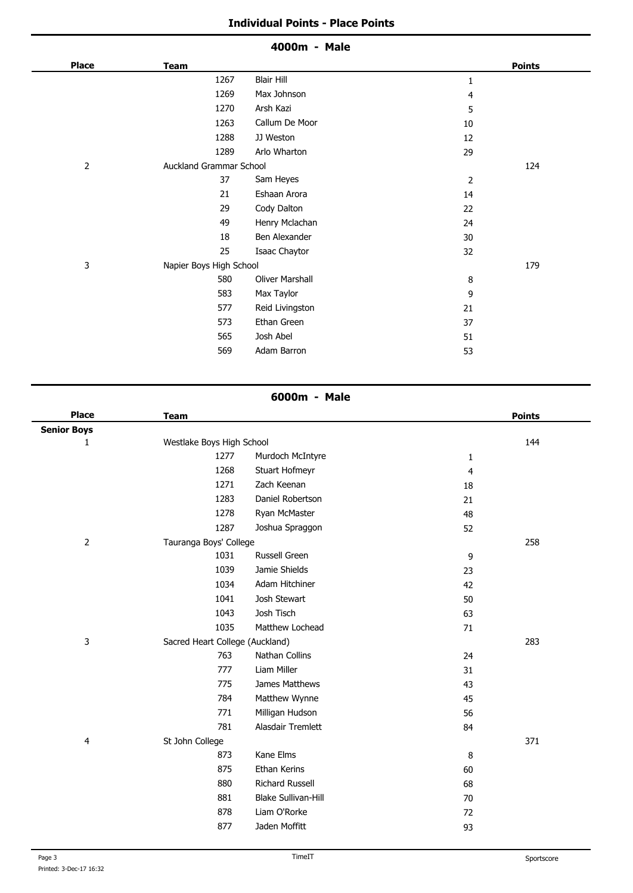|                |                         | 4000m - Male           |    |               |
|----------------|-------------------------|------------------------|----|---------------|
| <b>Place</b>   | <b>Team</b>             |                        |    | <b>Points</b> |
|                | 1267                    | <b>Blair Hill</b>      | 1  |               |
|                | 1269                    | Max Johnson            | 4  |               |
|                | 1270                    | Arsh Kazi              | 5  |               |
|                | 1263                    | Callum De Moor         | 10 |               |
|                | 1288                    | JJ Weston              | 12 |               |
|                | 1289                    | Arlo Wharton           | 29 |               |
| $\overline{2}$ | Auckland Grammar School |                        |    | 124           |
|                | 37                      | Sam Heyes              | 2  |               |
|                | 21                      | Eshaan Arora           | 14 |               |
|                | 29                      | Cody Dalton            | 22 |               |
|                | 49                      | Henry Mclachan         | 24 |               |
|                | 18                      | Ben Alexander          | 30 |               |
|                | 25                      | Isaac Chaytor          | 32 |               |
| 3              | Napier Boys High School |                        |    | 179           |
|                | 580                     | <b>Oliver Marshall</b> | 8  |               |
|                | 583                     | Max Taylor             | 9  |               |
|                | 577                     | Reid Livingston        | 21 |               |
|                | 573                     | Ethan Green            | 37 |               |
|                | 565                     | Josh Abel              | 51 |               |
|                | 569                     | Adam Barron            | 53 |               |
|                |                         |                        |    |               |

# **6000m - Male**

| <b>Place</b>       | <b>Team</b>                     |                            |                  | <b>Points</b> |
|--------------------|---------------------------------|----------------------------|------------------|---------------|
| <b>Senior Boys</b> |                                 |                            |                  |               |
| 1                  | Westlake Boys High School       |                            |                  | 144           |
|                    | 1277                            | Murdoch McIntyre           | 1                |               |
|                    | 1268                            | Stuart Hofmeyr             | 4                |               |
|                    | 1271                            | Zach Keenan                | 18               |               |
|                    | 1283                            | Daniel Robertson           | 21               |               |
|                    | 1278                            | Ryan McMaster              | 48               |               |
|                    | 1287                            | Joshua Spraggon            | 52               |               |
| $\overline{2}$     | Tauranga Boys' College          |                            |                  | 258           |
|                    | 1031                            | Russell Green              | $\boldsymbol{9}$ |               |
|                    | 1039                            | Jamie Shields              | 23               |               |
|                    | 1034                            | Adam Hitchiner             | 42               |               |
|                    | 1041                            | Josh Stewart               | 50               |               |
|                    | 1043                            | Josh Tisch                 | 63               |               |
|                    | 1035                            | Matthew Lochead            | 71               |               |
| 3                  | Sacred Heart College (Auckland) |                            |                  | 283           |
|                    | 763                             | Nathan Collins             | 24               |               |
|                    | 777                             | Liam Miller                | 31               |               |
|                    | 775                             | James Matthews             | 43               |               |
|                    | 784                             | Matthew Wynne              | 45               |               |
|                    | 771                             | Milligan Hudson            | 56               |               |
|                    | 781                             | Alasdair Tremlett          | 84               |               |
| 4                  | St John College                 |                            |                  | 371           |
|                    | 873                             | Kane Elms                  | 8                |               |
|                    | 875                             | Ethan Kerins               | 60               |               |
|                    | 880                             | <b>Richard Russell</b>     | 68               |               |
|                    | 881                             | <b>Blake Sullivan-Hill</b> | 70               |               |
|                    | 878                             | Liam O'Rorke               | 72               |               |
|                    | 877                             | Jaden Moffitt              | 93               |               |
|                    |                                 |                            |                  |               |

 $\overline{a}$